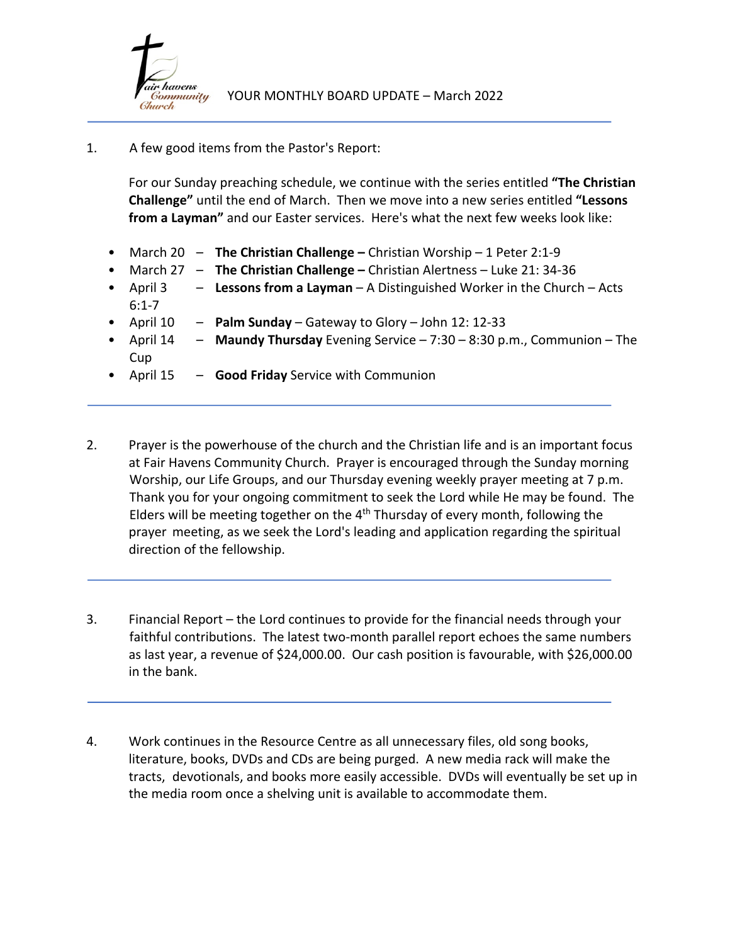

## 1. A few good items from the Pastor's Report:

For our Sunday preaching schedule, we continue with the series entitled **"The Christian Challenge"** until the end of March. Then we move into a new series entitled **"Lessons from a Layman"** and our Easter services. Here's what the next few weeks look like:

- March 20 **The Christian Challenge –** Christian Worship 1 Peter 2:1-9
- March 27 **The Christian Challenge –** Christian Alertness Luke 21: 34-36
- April 3 **Lessons from a Layman** A Distinguished Worker in the Church Acts 6:1-7
- April 10 **Palm Sunday** Gateway to Glory John 12: 12-33
- April 14 **Maundy Thursday** Evening Service 7:30 8:30 p.m., Communion The Cup
- April 15 **Good Friday** Service with Communion
- 2. Prayer is the powerhouse of the church and the Christian life and is an important focus at Fair Havens Community Church. Prayer is encouraged through the Sunday morning Worship, our Life Groups, and our Thursday evening weekly prayer meeting at 7 p.m. Thank you for your ongoing commitment to seek the Lord while He may be found. The Elders will be meeting together on the  $4<sup>th</sup>$  Thursday of every month, following the prayer meeting, as we seek the Lord's leading and application regarding the spiritual direction of the fellowship.
- 3. Financial Report the Lord continues to provide for the financial needs through your faithful contributions. The latest two-month parallel report echoes the same numbers as last year, a revenue of \$24,000.00. Our cash position is favourable, with \$26,000.00 in the bank.
- 4. Work continues in the Resource Centre as all unnecessary files, old song books, literature, books, DVDs and CDs are being purged. A new media rack will make the tracts, devotionals, and books more easily accessible. DVDs will eventually be set up in the media room once a shelving unit is available to accommodate them.